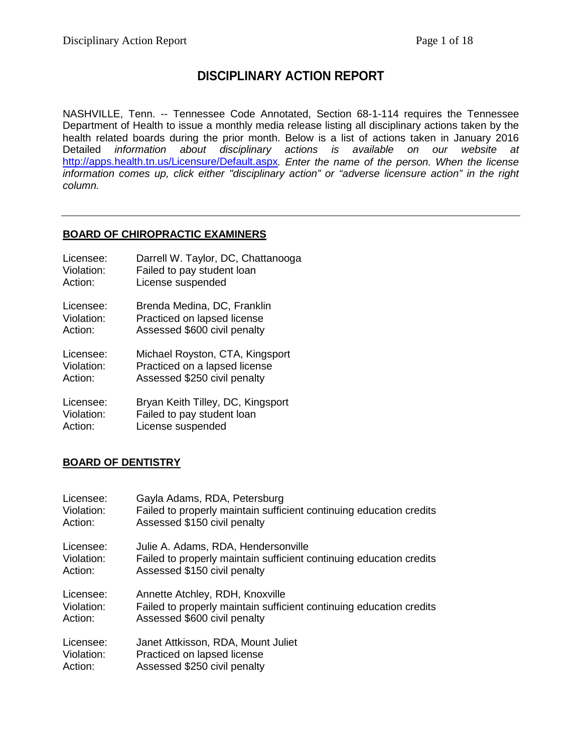# **DISCIPLINARY ACTION REPORT**

NASHVILLE, Tenn. -- Tennessee Code Annotated, Section 68-1-114 requires the Tennessee Department of Health to issue a monthly media release listing all disciplinary actions taken by the health related boards during the prior month. Below is a list of actions taken in January 2016 Detailed *information about disciplinary actions is available on our website at*  <http://apps.health.tn.us/Licensure/Default.aspx>*. Enter the name of the person. When the license information comes up, click either "disciplinary action" or "adverse licensure action" in the right column.*

### **BOARD OF CHIROPRACTIC EXAMINERS**

| Licensee:  | Darrell W. Taylor, DC, Chattanooga |
|------------|------------------------------------|
| Violation: | Failed to pay student loan         |
| Action:    | License suspended                  |
| Licensee:  | Brenda Medina, DC, Franklin        |
| Violation: | Practiced on lapsed license        |
| Action:    | Assessed \$600 civil penalty       |
| Licensee:  | Michael Royston, CTA, Kingsport    |
| Violation: | Practiced on a lapsed license      |
| Action:    | Assessed \$250 civil penalty       |
| Licensee:  | Bryan Keith Tilley, DC, Kingsport  |
| Violation: | Failed to pay student loan         |
| Action:    | License suspended                  |

## **BOARD OF DENTISTRY**

| Licensee:  | Gayla Adams, RDA, Petersburg                                        |
|------------|---------------------------------------------------------------------|
| Violation: | Failed to properly maintain sufficient continuing education credits |
| Action:    | Assessed \$150 civil penalty                                        |
| Licensee:  | Julie A. Adams, RDA, Hendersonville                                 |
| Violation: | Failed to properly maintain sufficient continuing education credits |
| Action:    | Assessed \$150 civil penalty                                        |
| Licensee:  | Annette Atchley, RDH, Knoxville                                     |
| Violation: | Failed to properly maintain sufficient continuing education credits |
| Action:    | Assessed \$600 civil penalty                                        |
| Licensee:  | Janet Attkisson, RDA, Mount Juliet                                  |
| Violation: | Practiced on lapsed license                                         |
| Action:    | Assessed \$250 civil penalty                                        |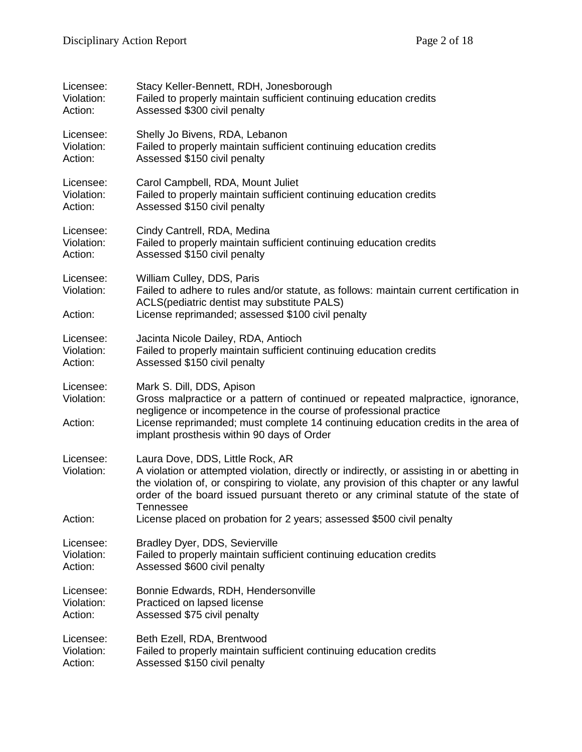| Licensee:                          | Stacy Keller-Bennett, RDH, Jonesborough                                                                                                                                                                                                                                                                                      |  |
|------------------------------------|------------------------------------------------------------------------------------------------------------------------------------------------------------------------------------------------------------------------------------------------------------------------------------------------------------------------------|--|
| Violation:                         | Failed to properly maintain sufficient continuing education credits                                                                                                                                                                                                                                                          |  |
| Action:                            | Assessed \$300 civil penalty                                                                                                                                                                                                                                                                                                 |  |
| Licensee:                          | Shelly Jo Bivens, RDA, Lebanon                                                                                                                                                                                                                                                                                               |  |
| Violation:                         | Failed to properly maintain sufficient continuing education credits                                                                                                                                                                                                                                                          |  |
| Action:                            | Assessed \$150 civil penalty                                                                                                                                                                                                                                                                                                 |  |
| Licensee:                          | Carol Campbell, RDA, Mount Juliet                                                                                                                                                                                                                                                                                            |  |
| Violation:                         | Failed to properly maintain sufficient continuing education credits                                                                                                                                                                                                                                                          |  |
| Action:                            | Assessed \$150 civil penalty                                                                                                                                                                                                                                                                                                 |  |
| Licensee:                          | Cindy Cantrell, RDA, Medina                                                                                                                                                                                                                                                                                                  |  |
| Violation:                         | Failed to properly maintain sufficient continuing education credits                                                                                                                                                                                                                                                          |  |
| Action:                            | Assessed \$150 civil penalty                                                                                                                                                                                                                                                                                                 |  |
| Licensee:<br>Violation:<br>Action: | William Culley, DDS, Paris<br>Failed to adhere to rules and/or statute, as follows: maintain current certification in<br>ACLS(pediatric dentist may substitute PALS)<br>License reprimanded; assessed \$100 civil penalty                                                                                                    |  |
| Licensee:                          | Jacinta Nicole Dailey, RDA, Antioch                                                                                                                                                                                                                                                                                          |  |
| Violation:                         | Failed to properly maintain sufficient continuing education credits                                                                                                                                                                                                                                                          |  |
| Action:                            | Assessed \$150 civil penalty                                                                                                                                                                                                                                                                                                 |  |
| Licensee:<br>Violation:<br>Action: | Mark S. Dill, DDS, Apison<br>Gross malpractice or a pattern of continued or repeated malpractice, ignorance,<br>negligence or incompetence in the course of professional practice<br>License reprimanded; must complete 14 continuing education credits in the area of<br>implant prosthesis within 90 days of Order         |  |
| Licensee:<br>Violation:            | Laura Dove, DDS, Little Rock, AR<br>A violation or attempted violation, directly or indirectly, or assisting in or abetting in<br>the violation of, or conspiring to violate, any provision of this chapter or any lawful<br>order of the board issued pursuant thereto or any criminal statute of the state of<br>Tennessee |  |
| Action:                            | License placed on probation for 2 years; assessed \$500 civil penalty                                                                                                                                                                                                                                                        |  |
| Licensee:                          | Bradley Dyer, DDS, Sevierville                                                                                                                                                                                                                                                                                               |  |
| Violation:                         | Failed to properly maintain sufficient continuing education credits                                                                                                                                                                                                                                                          |  |
| Action:                            | Assessed \$600 civil penalty                                                                                                                                                                                                                                                                                                 |  |
| Licensee:                          | Bonnie Edwards, RDH, Hendersonville                                                                                                                                                                                                                                                                                          |  |
| Violation:                         | Practiced on lapsed license                                                                                                                                                                                                                                                                                                  |  |
| Action:                            | Assessed \$75 civil penalty                                                                                                                                                                                                                                                                                                  |  |
| Licensee:                          | Beth Ezell, RDA, Brentwood                                                                                                                                                                                                                                                                                                   |  |
| Violation:                         | Failed to properly maintain sufficient continuing education credits                                                                                                                                                                                                                                                          |  |
| Action:                            | Assessed \$150 civil penalty                                                                                                                                                                                                                                                                                                 |  |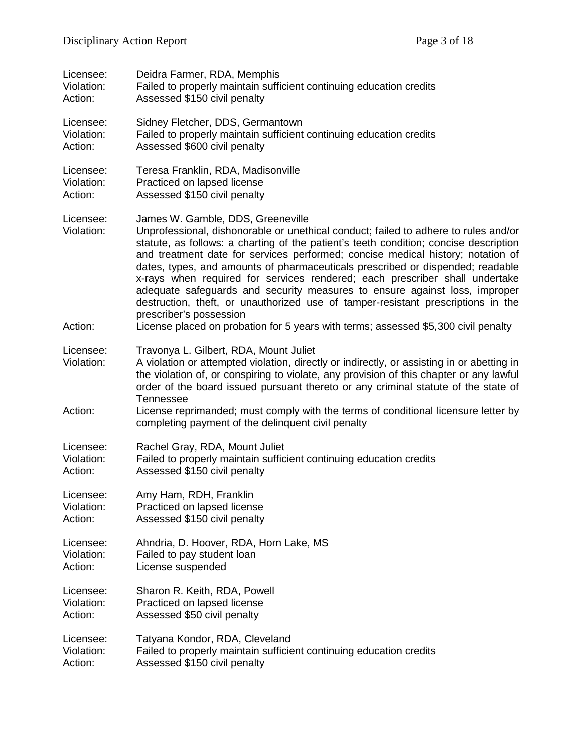| Licensee:               | Deidra Farmer, RDA, Memphis                                                                                                                                                                                                                                                                                                                                                                                                                                                                                                                                                                                                                                        |  |
|-------------------------|--------------------------------------------------------------------------------------------------------------------------------------------------------------------------------------------------------------------------------------------------------------------------------------------------------------------------------------------------------------------------------------------------------------------------------------------------------------------------------------------------------------------------------------------------------------------------------------------------------------------------------------------------------------------|--|
| Violation:              | Failed to properly maintain sufficient continuing education credits                                                                                                                                                                                                                                                                                                                                                                                                                                                                                                                                                                                                |  |
| Action:                 | Assessed \$150 civil penalty                                                                                                                                                                                                                                                                                                                                                                                                                                                                                                                                                                                                                                       |  |
| Licensee:               | Sidney Fletcher, DDS, Germantown                                                                                                                                                                                                                                                                                                                                                                                                                                                                                                                                                                                                                                   |  |
| Violation:              | Failed to properly maintain sufficient continuing education credits                                                                                                                                                                                                                                                                                                                                                                                                                                                                                                                                                                                                |  |
| Action:                 | Assessed \$600 civil penalty                                                                                                                                                                                                                                                                                                                                                                                                                                                                                                                                                                                                                                       |  |
| Licensee:               | Teresa Franklin, RDA, Madisonville                                                                                                                                                                                                                                                                                                                                                                                                                                                                                                                                                                                                                                 |  |
| Violation:              | Practiced on lapsed license                                                                                                                                                                                                                                                                                                                                                                                                                                                                                                                                                                                                                                        |  |
| Action:                 | Assessed \$150 civil penalty                                                                                                                                                                                                                                                                                                                                                                                                                                                                                                                                                                                                                                       |  |
| Licensee:<br>Violation: | James W. Gamble, DDS, Greeneville<br>Unprofessional, dishonorable or unethical conduct; failed to adhere to rules and/or<br>statute, as follows: a charting of the patient's teeth condition; concise description<br>and treatment date for services performed; concise medical history; notation of<br>dates, types, and amounts of pharmaceuticals prescribed or dispended; readable<br>x-rays when required for services rendered; each prescriber shall undertake<br>adequate safeguards and security measures to ensure against loss, improper<br>destruction, theft, or unauthorized use of tamper-resistant prescriptions in the<br>prescriber's possession |  |
| Action:                 | License placed on probation for 5 years with terms; assessed \$5,300 civil penalty                                                                                                                                                                                                                                                                                                                                                                                                                                                                                                                                                                                 |  |
| Licensee:<br>Violation: | Travonya L. Gilbert, RDA, Mount Juliet<br>A violation or attempted violation, directly or indirectly, or assisting in or abetting in<br>the violation of, or conspiring to violate, any provision of this chapter or any lawful<br>order of the board issued pursuant thereto or any criminal statute of the state of<br><b>Tennessee</b>                                                                                                                                                                                                                                                                                                                          |  |
| Action:                 | License reprimanded; must comply with the terms of conditional licensure letter by<br>completing payment of the delinquent civil penalty                                                                                                                                                                                                                                                                                                                                                                                                                                                                                                                           |  |
| Licensee:               | Rachel Gray, RDA, Mount Juliet                                                                                                                                                                                                                                                                                                                                                                                                                                                                                                                                                                                                                                     |  |
| Violation:              | Failed to properly maintain sufficient continuing education credits                                                                                                                                                                                                                                                                                                                                                                                                                                                                                                                                                                                                |  |
| Action:                 | Assessed \$150 civil penalty                                                                                                                                                                                                                                                                                                                                                                                                                                                                                                                                                                                                                                       |  |
| Licensee:               | Amy Ham, RDH, Franklin                                                                                                                                                                                                                                                                                                                                                                                                                                                                                                                                                                                                                                             |  |
| Violation:              | Practiced on lapsed license                                                                                                                                                                                                                                                                                                                                                                                                                                                                                                                                                                                                                                        |  |
| Action:                 | Assessed \$150 civil penalty                                                                                                                                                                                                                                                                                                                                                                                                                                                                                                                                                                                                                                       |  |
| Licensee:               | Ahndria, D. Hoover, RDA, Horn Lake, MS                                                                                                                                                                                                                                                                                                                                                                                                                                                                                                                                                                                                                             |  |
| Violation:              | Failed to pay student loan                                                                                                                                                                                                                                                                                                                                                                                                                                                                                                                                                                                                                                         |  |
| Action:                 | License suspended                                                                                                                                                                                                                                                                                                                                                                                                                                                                                                                                                                                                                                                  |  |
| Licensee:               | Sharon R. Keith, RDA, Powell                                                                                                                                                                                                                                                                                                                                                                                                                                                                                                                                                                                                                                       |  |
| Violation:              | Practiced on lapsed license                                                                                                                                                                                                                                                                                                                                                                                                                                                                                                                                                                                                                                        |  |
| Action:                 | Assessed \$50 civil penalty                                                                                                                                                                                                                                                                                                                                                                                                                                                                                                                                                                                                                                        |  |
| Licensee:               | Tatyana Kondor, RDA, Cleveland                                                                                                                                                                                                                                                                                                                                                                                                                                                                                                                                                                                                                                     |  |
| Violation:              | Failed to properly maintain sufficient continuing education credits                                                                                                                                                                                                                                                                                                                                                                                                                                                                                                                                                                                                |  |
| Action:                 | Assessed \$150 civil penalty                                                                                                                                                                                                                                                                                                                                                                                                                                                                                                                                                                                                                                       |  |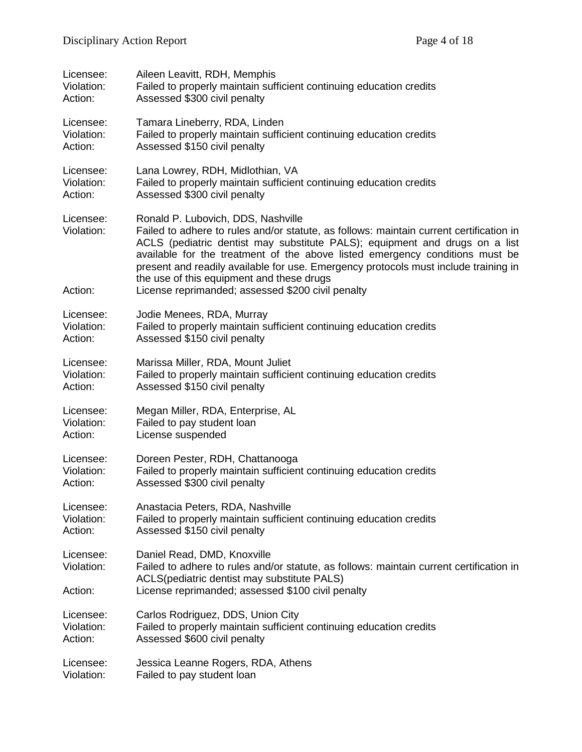| Licensee:                          | Aileen Leavitt, RDH, Memphis                                                                                                                                                                                                                                                                                                                                                                                                                                                          |
|------------------------------------|---------------------------------------------------------------------------------------------------------------------------------------------------------------------------------------------------------------------------------------------------------------------------------------------------------------------------------------------------------------------------------------------------------------------------------------------------------------------------------------|
| Violation:                         | Failed to properly maintain sufficient continuing education credits                                                                                                                                                                                                                                                                                                                                                                                                                   |
| Action:                            | Assessed \$300 civil penalty                                                                                                                                                                                                                                                                                                                                                                                                                                                          |
| Licensee:                          | Tamara Lineberry, RDA, Linden                                                                                                                                                                                                                                                                                                                                                                                                                                                         |
| Violation:                         | Failed to properly maintain sufficient continuing education credits                                                                                                                                                                                                                                                                                                                                                                                                                   |
| Action:                            | Assessed \$150 civil penalty                                                                                                                                                                                                                                                                                                                                                                                                                                                          |
| Licensee:                          | Lana Lowrey, RDH, Midlothian, VA                                                                                                                                                                                                                                                                                                                                                                                                                                                      |
| Violation:                         | Failed to properly maintain sufficient continuing education credits                                                                                                                                                                                                                                                                                                                                                                                                                   |
| Action:                            | Assessed \$300 civil penalty                                                                                                                                                                                                                                                                                                                                                                                                                                                          |
| Licensee:<br>Violation:<br>Action: | Ronald P. Lubovich, DDS, Nashville<br>Failed to adhere to rules and/or statute, as follows: maintain current certification in<br>ACLS (pediatric dentist may substitute PALS); equipment and drugs on a list<br>available for the treatment of the above listed emergency conditions must be<br>present and readily available for use. Emergency protocols must include training in<br>the use of this equipment and these drugs<br>License reprimanded; assessed \$200 civil penalty |
| Licensee:                          | Jodie Menees, RDA, Murray                                                                                                                                                                                                                                                                                                                                                                                                                                                             |
| Violation:                         | Failed to properly maintain sufficient continuing education credits                                                                                                                                                                                                                                                                                                                                                                                                                   |
| Action:                            | Assessed \$150 civil penalty                                                                                                                                                                                                                                                                                                                                                                                                                                                          |
| Licensee:                          | Marissa Miller, RDA, Mount Juliet                                                                                                                                                                                                                                                                                                                                                                                                                                                     |
| Violation:                         | Failed to properly maintain sufficient continuing education credits                                                                                                                                                                                                                                                                                                                                                                                                                   |
| Action:                            | Assessed \$150 civil penalty                                                                                                                                                                                                                                                                                                                                                                                                                                                          |
| Licensee:                          | Megan Miller, RDA, Enterprise, AL                                                                                                                                                                                                                                                                                                                                                                                                                                                     |
| Violation:                         | Failed to pay student loan                                                                                                                                                                                                                                                                                                                                                                                                                                                            |
| Action:                            | License suspended                                                                                                                                                                                                                                                                                                                                                                                                                                                                     |
| Licensee:                          | Doreen Pester, RDH, Chattanooga                                                                                                                                                                                                                                                                                                                                                                                                                                                       |
| Violation:                         | Failed to properly maintain sufficient continuing education credits                                                                                                                                                                                                                                                                                                                                                                                                                   |
| Action:                            | Assessed \$300 civil penalty                                                                                                                                                                                                                                                                                                                                                                                                                                                          |
| Licensee:                          | Anastacia Peters, RDA, Nashville                                                                                                                                                                                                                                                                                                                                                                                                                                                      |
| Violation:                         | Failed to properly maintain sufficient continuing education credits                                                                                                                                                                                                                                                                                                                                                                                                                   |
| Action:                            | Assessed \$150 civil penalty                                                                                                                                                                                                                                                                                                                                                                                                                                                          |
| Licensee:<br>Violation:<br>Action: | Daniel Read, DMD, Knoxville<br>Failed to adhere to rules and/or statute, as follows: maintain current certification in<br>ACLS(pediatric dentist may substitute PALS)<br>License reprimanded; assessed \$100 civil penalty                                                                                                                                                                                                                                                            |
| Licensee:                          | Carlos Rodriguez, DDS, Union City                                                                                                                                                                                                                                                                                                                                                                                                                                                     |
| Violation:                         | Failed to properly maintain sufficient continuing education credits                                                                                                                                                                                                                                                                                                                                                                                                                   |
| Action:                            | Assessed \$600 civil penalty                                                                                                                                                                                                                                                                                                                                                                                                                                                          |
| Licensee:                          | Jessica Leanne Rogers, RDA, Athens                                                                                                                                                                                                                                                                                                                                                                                                                                                    |
| Violation:                         | Failed to pay student loan                                                                                                                                                                                                                                                                                                                                                                                                                                                            |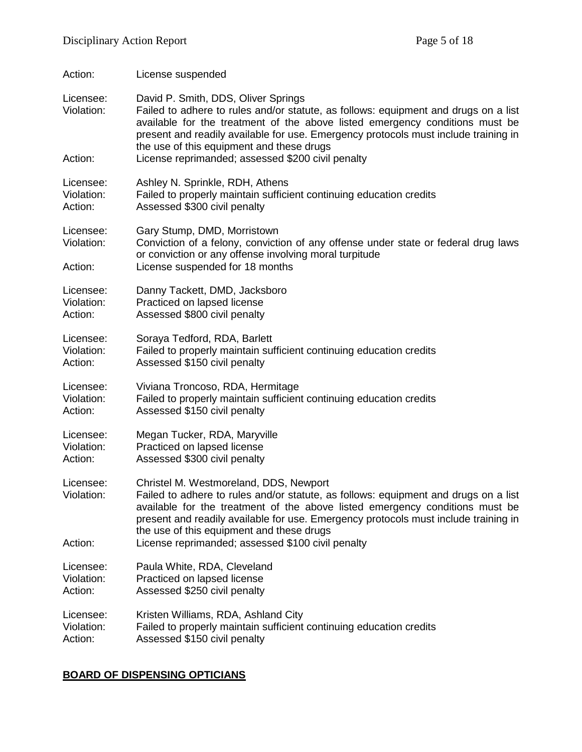| Action:                            | License suspended                                                                                                                                                                                                                                                                                                                                 |  |
|------------------------------------|---------------------------------------------------------------------------------------------------------------------------------------------------------------------------------------------------------------------------------------------------------------------------------------------------------------------------------------------------|--|
| Licensee:<br>Violation:            | David P. Smith, DDS, Oliver Springs<br>Failed to adhere to rules and/or statute, as follows: equipment and drugs on a list<br>available for the treatment of the above listed emergency conditions must be<br>present and readily available for use. Emergency protocols must include training in<br>the use of this equipment and these drugs    |  |
| Action:                            | License reprimanded; assessed \$200 civil penalty                                                                                                                                                                                                                                                                                                 |  |
| Licensee:                          | Ashley N. Sprinkle, RDH, Athens                                                                                                                                                                                                                                                                                                                   |  |
| Violation:                         | Failed to properly maintain sufficient continuing education credits                                                                                                                                                                                                                                                                               |  |
| Action:                            | Assessed \$300 civil penalty                                                                                                                                                                                                                                                                                                                      |  |
| Licensee:<br>Violation:<br>Action: | Gary Stump, DMD, Morristown<br>Conviction of a felony, conviction of any offense under state or federal drug laws<br>or conviction or any offense involving moral turpitude<br>License suspended for 18 months                                                                                                                                    |  |
| Licensee:                          | Danny Tackett, DMD, Jacksboro                                                                                                                                                                                                                                                                                                                     |  |
| Violation:                         | Practiced on lapsed license                                                                                                                                                                                                                                                                                                                       |  |
| Action:                            | Assessed \$800 civil penalty                                                                                                                                                                                                                                                                                                                      |  |
| Licensee:                          | Soraya Tedford, RDA, Barlett                                                                                                                                                                                                                                                                                                                      |  |
| Violation:                         | Failed to properly maintain sufficient continuing education credits                                                                                                                                                                                                                                                                               |  |
| Action:                            | Assessed \$150 civil penalty                                                                                                                                                                                                                                                                                                                      |  |
| Licensee:                          | Viviana Troncoso, RDA, Hermitage                                                                                                                                                                                                                                                                                                                  |  |
| Violation:                         | Failed to properly maintain sufficient continuing education credits                                                                                                                                                                                                                                                                               |  |
| Action:                            | Assessed \$150 civil penalty                                                                                                                                                                                                                                                                                                                      |  |
| Licensee:                          | Megan Tucker, RDA, Maryville                                                                                                                                                                                                                                                                                                                      |  |
| Violation:                         | Practiced on lapsed license                                                                                                                                                                                                                                                                                                                       |  |
| Action:                            | Assessed \$300 civil penalty                                                                                                                                                                                                                                                                                                                      |  |
| Licensee:<br>Violation:            | Christel M. Westmoreland, DDS, Newport<br>Failed to adhere to rules and/or statute, as follows: equipment and drugs on a list<br>available for the treatment of the above listed emergency conditions must be<br>present and readily available for use. Emergency protocols must include training in<br>the use of this equipment and these drugs |  |
| Action:                            | License reprimanded; assessed \$100 civil penalty                                                                                                                                                                                                                                                                                                 |  |
| Licensee:                          | Paula White, RDA, Cleveland                                                                                                                                                                                                                                                                                                                       |  |
| Violation:                         | Practiced on lapsed license                                                                                                                                                                                                                                                                                                                       |  |
| Action:                            | Assessed \$250 civil penalty                                                                                                                                                                                                                                                                                                                      |  |
| Licensee:                          | Kristen Williams, RDA, Ashland City                                                                                                                                                                                                                                                                                                               |  |
| Violation:                         | Failed to properly maintain sufficient continuing education credits                                                                                                                                                                                                                                                                               |  |
| Action:                            | Assessed \$150 civil penalty                                                                                                                                                                                                                                                                                                                      |  |

# **BOARD OF DISPENSING OPTICIANS**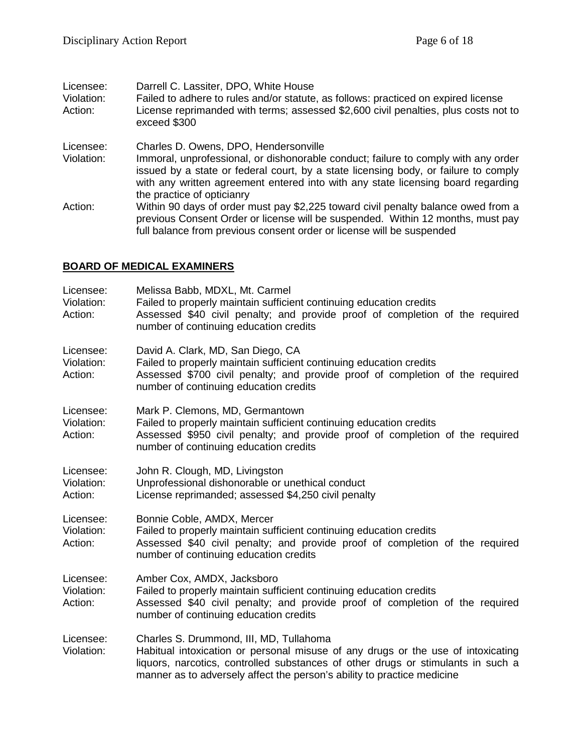| Licensee:<br>Violation:<br>Action: | Darrell C. Lassiter, DPO, White House<br>Failed to adhere to rules and/or statute, as follows: practiced on expired license<br>License reprimanded with terms; assessed \$2,600 civil penalties, plus costs not to<br>exceed \$300                                                                                                   |
|------------------------------------|--------------------------------------------------------------------------------------------------------------------------------------------------------------------------------------------------------------------------------------------------------------------------------------------------------------------------------------|
| Licensee:<br>Violation:            | Charles D. Owens, DPO, Hendersonville<br>Immoral, unprofessional, or dishonorable conduct; failure to comply with any order<br>issued by a state or federal court, by a state licensing body, or failure to comply<br>with any written agreement entered into with any state licensing board regarding<br>the practice of opticianry |
| Action:                            | Within 90 days of order must pay \$2,225 toward civil penalty balance owed from a<br>previous Consent Order or license will be suspended. Within 12 months, must pay<br>full balance from previous consent order or license will be suspended                                                                                        |

## **BOARD OF MEDICAL EXAMINERS**

| Licensee:<br>Violation:<br>Action: | Melissa Babb, MDXL, Mt. Carmel<br>Failed to properly maintain sufficient continuing education credits<br>Assessed \$40 civil penalty; and provide proof of completion of the required<br>number of continuing education credits                                                            |
|------------------------------------|--------------------------------------------------------------------------------------------------------------------------------------------------------------------------------------------------------------------------------------------------------------------------------------------|
| Licensee:<br>Violation:<br>Action: | David A. Clark, MD, San Diego, CA<br>Failed to properly maintain sufficient continuing education credits<br>Assessed \$700 civil penalty; and provide proof of completion of the required<br>number of continuing education credits                                                        |
| Licensee:<br>Violation:<br>Action: | Mark P. Clemons, MD, Germantown<br>Failed to properly maintain sufficient continuing education credits<br>Assessed \$950 civil penalty; and provide proof of completion of the required<br>number of continuing education credits                                                          |
| Licensee:<br>Violation:<br>Action: | John R. Clough, MD, Livingston<br>Unprofessional dishonorable or unethical conduct<br>License reprimanded; assessed \$4,250 civil penalty                                                                                                                                                  |
| Licensee:<br>Violation:<br>Action: | Bonnie Coble, AMDX, Mercer<br>Failed to properly maintain sufficient continuing education credits<br>Assessed \$40 civil penalty; and provide proof of completion of the required<br>number of continuing education credits                                                                |
| Licensee:<br>Violation:<br>Action: | Amber Cox, AMDX, Jacksboro<br>Failed to properly maintain sufficient continuing education credits<br>Assessed \$40 civil penalty; and provide proof of completion of the required<br>number of continuing education credits                                                                |
| Licensee:<br>Violation:            | Charles S. Drummond, III, MD, Tullahoma<br>Habitual intoxication or personal misuse of any drugs or the use of intoxicating<br>liquors, narcotics, controlled substances of other drugs or stimulants in such a<br>manner as to adversely affect the person's ability to practice medicine |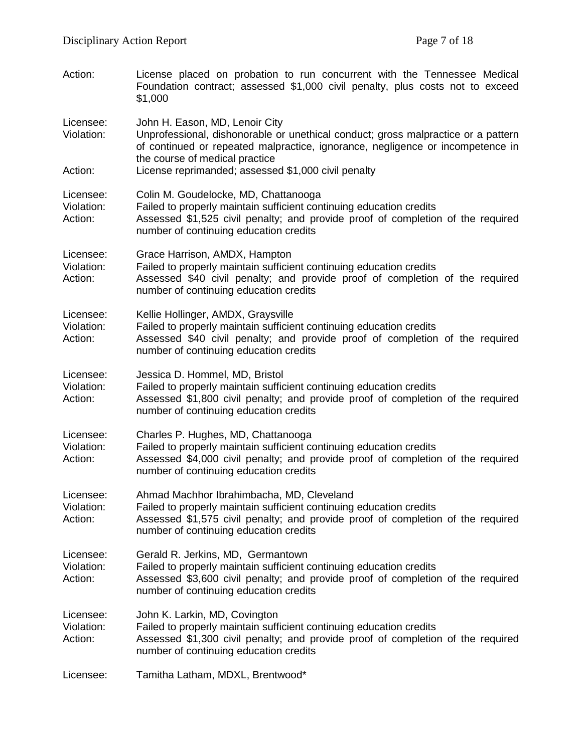| Action:                            | License placed on probation to run concurrent with the Tennessee Medical<br>Foundation contract; assessed \$1,000 civil penalty, plus costs not to exceed<br>\$1,000                                                                                                                           |
|------------------------------------|------------------------------------------------------------------------------------------------------------------------------------------------------------------------------------------------------------------------------------------------------------------------------------------------|
| Licensee:<br>Violation:<br>Action: | John H. Eason, MD, Lenoir City<br>Unprofessional, dishonorable or unethical conduct; gross malpractice or a pattern<br>of continued or repeated malpractice, ignorance, negligence or incompetence in<br>the course of medical practice<br>License reprimanded; assessed \$1,000 civil penalty |
| Licensee:<br>Violation:<br>Action: | Colin M. Goudelocke, MD, Chattanooga<br>Failed to properly maintain sufficient continuing education credits<br>Assessed \$1,525 civil penalty; and provide proof of completion of the required<br>number of continuing education credits                                                       |
| Licensee:<br>Violation:<br>Action: | Grace Harrison, AMDX, Hampton<br>Failed to properly maintain sufficient continuing education credits<br>Assessed \$40 civil penalty; and provide proof of completion of the required<br>number of continuing education credits                                                                 |
| Licensee:<br>Violation:<br>Action: | Kellie Hollinger, AMDX, Graysville<br>Failed to properly maintain sufficient continuing education credits<br>Assessed \$40 civil penalty; and provide proof of completion of the required<br>number of continuing education credits                                                            |
| Licensee:<br>Violation:<br>Action: | Jessica D. Hommel, MD, Bristol<br>Failed to properly maintain sufficient continuing education credits<br>Assessed \$1,800 civil penalty; and provide proof of completion of the required<br>number of continuing education credits                                                             |
| Licensee:<br>Violation:<br>Action: | Charles P. Hughes, MD, Chattanooga<br>Failed to properly maintain sufficient continuing education credits<br>Assessed \$4,000 civil penalty; and provide proof of completion of the required<br>number of continuing education credits                                                         |
| Licensee:<br>Violation:<br>Action: | Ahmad Machhor Ibrahimbacha, MD, Cleveland<br>Failed to properly maintain sufficient continuing education credits<br>Assessed \$1,575 civil penalty; and provide proof of completion of the required<br>number of continuing education credits                                                  |
| Licensee:<br>Violation:<br>Action: | Gerald R. Jerkins, MD, Germantown<br>Failed to properly maintain sufficient continuing education credits<br>Assessed \$3,600 civil penalty; and provide proof of completion of the required<br>number of continuing education credits                                                          |
| Licensee:<br>Violation:<br>Action: | John K. Larkin, MD, Covington<br>Failed to properly maintain sufficient continuing education credits<br>Assessed \$1,300 civil penalty; and provide proof of completion of the required<br>number of continuing education credits                                                              |
| Licensee:                          | Tamitha Latham, MDXL, Brentwood*                                                                                                                                                                                                                                                               |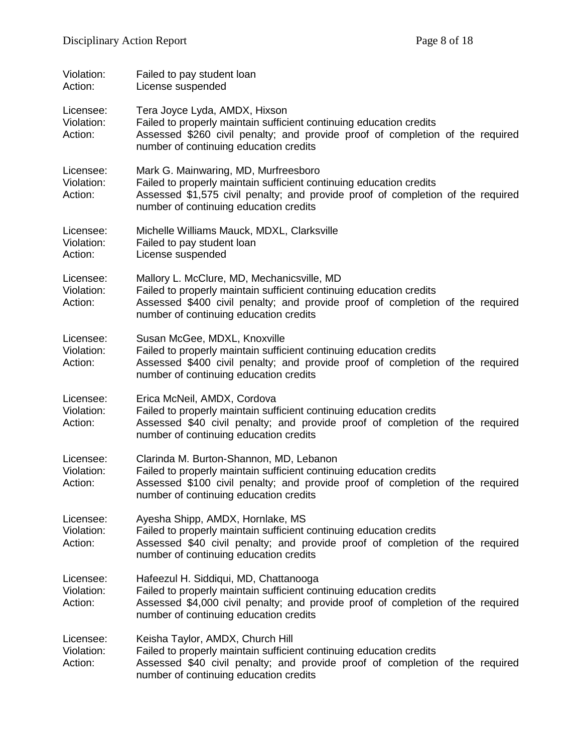| Violation:<br>Action:              | Failed to pay student loan<br>License suspended                                                                                                                                                                                              |
|------------------------------------|----------------------------------------------------------------------------------------------------------------------------------------------------------------------------------------------------------------------------------------------|
| Licensee:<br>Violation:<br>Action: | Tera Joyce Lyda, AMDX, Hixson<br>Failed to properly maintain sufficient continuing education credits<br>Assessed \$260 civil penalty; and provide proof of completion of the required<br>number of continuing education credits              |
| Licensee:<br>Violation:<br>Action: | Mark G. Mainwaring, MD, Murfreesboro<br>Failed to properly maintain sufficient continuing education credits<br>Assessed \$1,575 civil penalty; and provide proof of completion of the required<br>number of continuing education credits     |
| Licensee:<br>Violation:<br>Action: | Michelle Williams Mauck, MDXL, Clarksville<br>Failed to pay student loan<br>License suspended                                                                                                                                                |
| Licensee:<br>Violation:<br>Action: | Mallory L. McClure, MD, Mechanicsville, MD<br>Failed to properly maintain sufficient continuing education credits<br>Assessed \$400 civil penalty; and provide proof of completion of the required<br>number of continuing education credits |
| Licensee:<br>Violation:<br>Action: | Susan McGee, MDXL, Knoxville<br>Failed to properly maintain sufficient continuing education credits<br>Assessed \$400 civil penalty; and provide proof of completion of the required<br>number of continuing education credits               |
| Licensee:<br>Violation:<br>Action: | Erica McNeil, AMDX, Cordova<br>Failed to properly maintain sufficient continuing education credits<br>Assessed \$40 civil penalty; and provide proof of completion of the required<br>number of continuing education credits                 |
| Licensee:<br>Violation:<br>Action: | Clarinda M. Burton-Shannon, MD, Lebanon<br>Failed to properly maintain sufficient continuing education credits<br>Assessed \$100 civil penalty; and provide proof of completion of the required<br>number of continuing education credits    |
| Licensee:<br>Violation:<br>Action: | Ayesha Shipp, AMDX, Hornlake, MS<br>Failed to properly maintain sufficient continuing education credits<br>Assessed \$40 civil penalty; and provide proof of completion of the required<br>number of continuing education credits            |
| Licensee:<br>Violation:<br>Action: | Hafeezul H. Siddiqui, MD, Chattanooga<br>Failed to properly maintain sufficient continuing education credits<br>Assessed \$4,000 civil penalty; and provide proof of completion of the required<br>number of continuing education credits    |
| Licensee:<br>Violation:<br>Action: | Keisha Taylor, AMDX, Church Hill<br>Failed to properly maintain sufficient continuing education credits<br>Assessed \$40 civil penalty; and provide proof of completion of the required<br>number of continuing education credits            |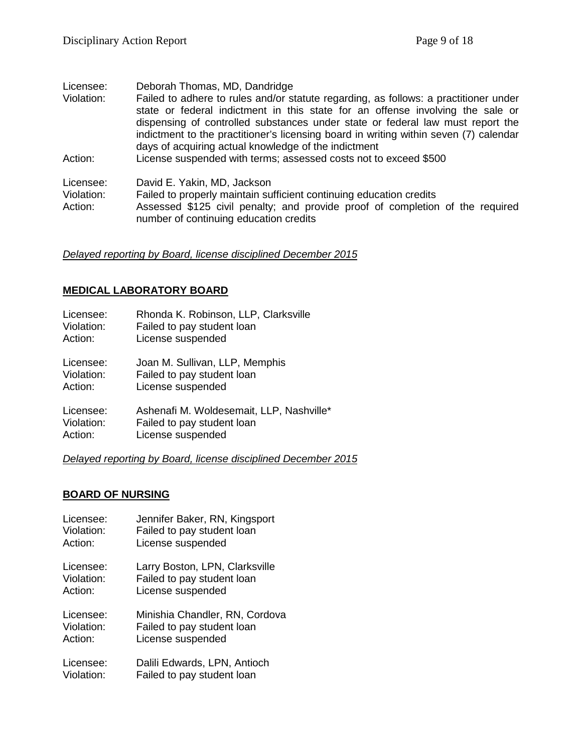| Licensee:                          | Deborah Thomas, MD, Dandridge                                                                                                                                                                                                                                                                                                                                                                             |
|------------------------------------|-----------------------------------------------------------------------------------------------------------------------------------------------------------------------------------------------------------------------------------------------------------------------------------------------------------------------------------------------------------------------------------------------------------|
| Violation:                         | Failed to adhere to rules and/or statute regarding, as follows: a practitioner under<br>state or federal indictment in this state for an offense involving the sale or<br>dispensing of controlled substances under state or federal law must report the<br>indictment to the practitioner's licensing board in writing within seven (7) calendar<br>days of acquiring actual knowledge of the indictment |
| Action:                            | License suspended with terms; assessed costs not to exceed \$500                                                                                                                                                                                                                                                                                                                                          |
| Licensee:<br>Violation:<br>Action: | David E. Yakin, MD, Jackson<br>Failed to properly maintain sufficient continuing education credits<br>Assessed \$125 civil penalty; and provide proof of completion of the required<br>number of continuing education credits                                                                                                                                                                             |

*Delayed reporting by Board, license disciplined December 2015*

# **MEDICAL LABORATORY BOARD**

| Licensee:  | Rhonda K. Robinson, LLP, Clarksville     |
|------------|------------------------------------------|
| Violation: | Failed to pay student loan               |
| Action:    | License suspended                        |
| Licensee:  | Joan M. Sullivan, LLP, Memphis           |
| Violation: | Failed to pay student loan               |
| Action:    | License suspended                        |
| Licensee:  | Ashenafi M. Woldesemait, LLP, Nashville* |
| Violation: | Failed to pay student loan               |
| Action:    | License suspended                        |

*Delayed reporting by Board, license disciplined December 2015*

### **BOARD OF NURSING**

| Licensee:  | Jennifer Baker, RN, Kingsport  |
|------------|--------------------------------|
| Violation: | Failed to pay student loan     |
| Action:    | License suspended              |
| Licensee:  | Larry Boston, LPN, Clarksville |
| Violation: | Failed to pay student loan     |
| Action:    | License suspended              |
| Licensee:  | Minishia Chandler, RN, Cordova |
| Violation: | Failed to pay student loan     |
| Action:    | License suspended              |
| Licensee:  | Dalili Edwards, LPN, Antioch   |
| Violation: | Failed to pay student loan     |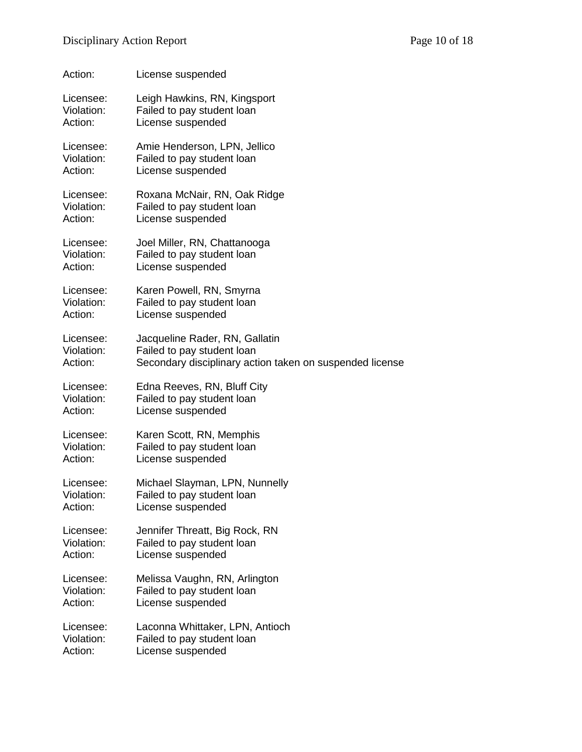| Action:    | License suspended                                        |
|------------|----------------------------------------------------------|
| Licensee:  | Leigh Hawkins, RN, Kingsport                             |
| Violation: | Failed to pay student loan                               |
| Action:    | License suspended                                        |
| Licensee:  | Amie Henderson, LPN, Jellico                             |
| Violation: | Failed to pay student loan                               |
| Action:    | License suspended                                        |
| Licensee:  | Roxana McNair, RN, Oak Ridge                             |
| Violation: | Failed to pay student loan                               |
| Action:    | License suspended                                        |
| Licensee:  | Joel Miller, RN, Chattanooga                             |
| Violation: | Failed to pay student loan                               |
| Action:    | License suspended                                        |
| Licensee:  | Karen Powell, RN, Smyrna                                 |
| Violation: | Failed to pay student loan                               |
| Action:    | License suspended                                        |
| Licensee:  | Jacqueline Rader, RN, Gallatin                           |
| Violation: | Failed to pay student loan                               |
| Action:    | Secondary disciplinary action taken on suspended license |
| Licensee:  | Edna Reeves, RN, Bluff City                              |
| Violation: | Failed to pay student loan                               |
| Action:    | License suspended                                        |
| Licensee:  | Karen Scott, RN, Memphis                                 |
| Violation: | Failed to pay student loan                               |
| Action:    | License suspended                                        |
| Licensee:  | Michael Slayman, LPN, Nunnelly                           |
| Violation: | Failed to pay student loan                               |
| Action:    | License suspended                                        |
| Licensee:  | Jennifer Threatt, Big Rock, RN                           |
| Violation: | Failed to pay student loan                               |
| Action:    | License suspended                                        |
| Licensee:  | Melissa Vaughn, RN, Arlington                            |
| Violation: | Failed to pay student loan                               |
| Action:    | License suspended                                        |
| Licensee:  | Laconna Whittaker, LPN, Antioch                          |
| Violation: | Failed to pay student loan                               |
| Action:    | License suspended                                        |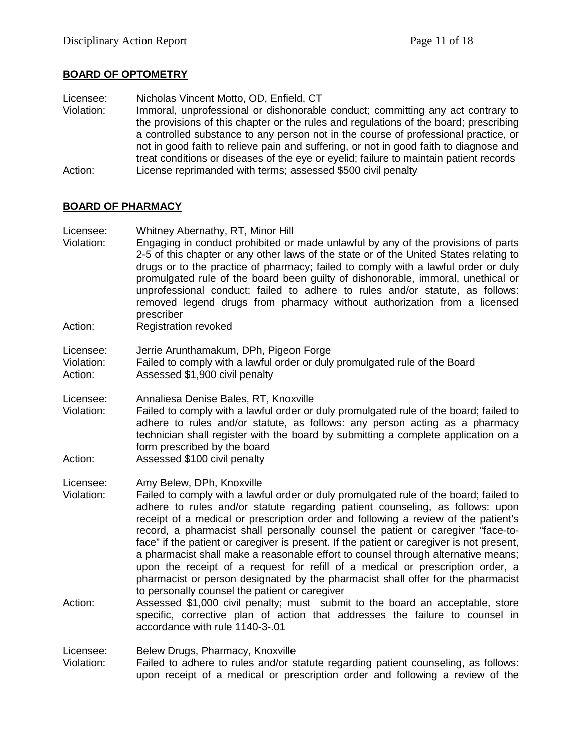### **BOARD OF OPTOMETRY**

Licensee: Nicholas Vincent Motto, OD, Enfield, CT Violation: Immoral, unprofessional or dishonorable conduct; committing any act contrary to the provisions of this chapter or the rules and regulations of the board; prescribing a controlled substance to any person not in the course of professional practice, or not in good faith to relieve pain and suffering, or not in good faith to diagnose and treat conditions or diseases of the eye or eyelid; failure to maintain patient records Action: License reprimanded with terms; assessed \$500 civil penalty

### **BOARD OF PHARMACY**

- Licensee: Whitney Abernathy, RT, Minor Hill
- Violation: Engaging in conduct prohibited or made unlawful by any of the provisions of parts 2-5 of this chapter or any other laws of the state or of the United States relating to drugs or to the practice of pharmacy; failed to comply with a lawful order or duly promulgated rule of the board been guilty of dishonorable, immoral, unethical or unprofessional conduct; failed to adhere to rules and/or statute, as follows: removed legend drugs from pharmacy without authorization from a licensed prescriber
- Action: Registration revoked

# Licensee: Jerrie Arunthamakum, DPh, Pigeon Forge<br>Violation: Failed to comply with a lawful order or duly

- Failed to comply with a lawful order or duly promulgated rule of the Board Action: Assessed \$1,900 civil penalty
- Licensee: Annaliesa Denise Bales, RT, Knoxville
- Violation: Failed to comply with a lawful order or duly promulgated rule of the board; failed to adhere to rules and/or statute, as follows: any person acting as a pharmacy technician shall register with the board by submitting a complete application on a form prescribed by the board Action: Assessed \$100 civil penalty
- Licensee: Amy Belew, DPh, Knoxville
- Violation: Failed to comply with a lawful order or duly promulgated rule of the board; failed to adhere to rules and/or statute regarding patient counseling, as follows: upon receipt of a medical or prescription order and following a review of the patient's record, a pharmacist shall personally counsel the patient or caregiver "face-toface" if the patient or caregiver is present. If the patient or caregiver is not present, a pharmacist shall make a reasonable effort to counsel through alternative means; upon the receipt of a request for refill of a medical or prescription order, a pharmacist or person designated by the pharmacist shall offer for the pharmacist to personally counsel the patient or caregiver
- Action: Assessed \$1,000 civil penalty; must submit to the board an acceptable, store specific, corrective plan of action that addresses the failure to counsel in accordance with rule 1140-3-.01

Licensee: Belew Drugs, Pharmacy, Knoxville

Violation: Failed to adhere to rules and/or statute regarding patient counseling, as follows: upon receipt of a medical or prescription order and following a review of the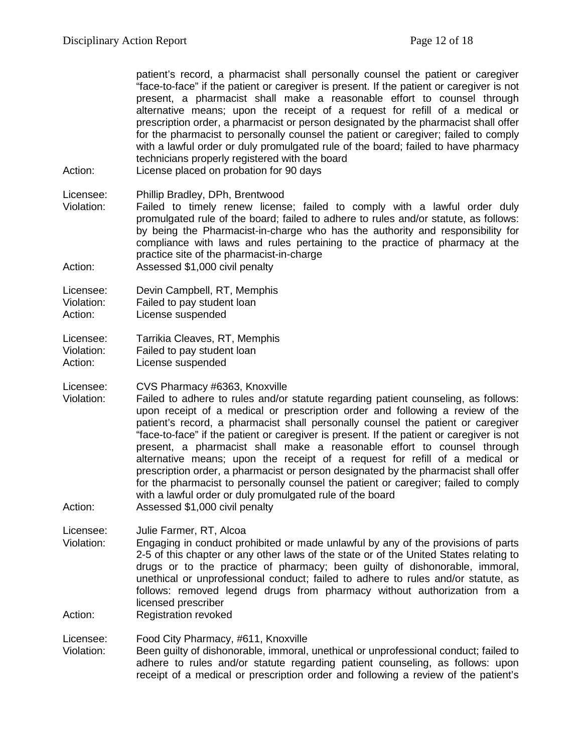patient's record, a pharmacist shall personally counsel the patient or caregiver "face-to-face" if the patient or caregiver is present. If the patient or caregiver is not present, a pharmacist shall make a reasonable effort to counsel through alternative means; upon the receipt of a request for refill of a medical or prescription order, a pharmacist or person designated by the pharmacist shall offer for the pharmacist to personally counsel the patient or caregiver; failed to comply with a lawful order or duly promulgated rule of the board; failed to have pharmacy technicians properly registered with the board Action: License placed on probation for 90 days Licensee: Phillip Bradley, DPh, Brentwood Violation: Failed to timely renew license; failed to comply with a lawful order duly promulgated rule of the board; failed to adhere to rules and/or statute, as follows: by being the Pharmacist-in-charge who has the authority and responsibility for compliance with laws and rules pertaining to the practice of pharmacy at the practice site of the pharmacist-in-charge Action: Assessed \$1,000 civil penalty Licensee: Devin Campbell, RT, Memphis

Violation: Failed to pay student loan

Action: License suspended

Licensee: Tarrikia Cleaves, RT, Memphis<br>Violation: Failed to pay student loan Violation: Failed to pay student loan<br>Action: Ficense suspended

License suspended

Licensee: CVS Pharmacy #6363, Knoxville

Violation: Failed to adhere to rules and/or statute regarding patient counseling, as follows: upon receipt of a medical or prescription order and following a review of the patient's record, a pharmacist shall personally counsel the patient or caregiver "face-to-face" if the patient or caregiver is present. If the patient or caregiver is not present, a pharmacist shall make a reasonable effort to counsel through alternative means; upon the receipt of a request for refill of a medical or prescription order, a pharmacist or person designated by the pharmacist shall offer for the pharmacist to personally counsel the patient or caregiver; failed to comply with a lawful order or duly promulgated rule of the board

Action: Assessed \$1,000 civil penalty

Licensee: Julie Farmer, RT, Alcoa

Violation: Engaging in conduct prohibited or made unlawful by any of the provisions of parts 2-5 of this chapter or any other laws of the state or of the United States relating to drugs or to the practice of pharmacy; been guilty of dishonorable, immoral, unethical or unprofessional conduct; failed to adhere to rules and/or statute, as follows: removed legend drugs from pharmacy without authorization from a licensed prescriber

Action: Registration revoked

Licensee: Food City Pharmacy, #611, Knoxville

Violation: Been guilty of dishonorable, immoral, unethical or unprofessional conduct; failed to adhere to rules and/or statute regarding patient counseling, as follows: upon receipt of a medical or prescription order and following a review of the patient's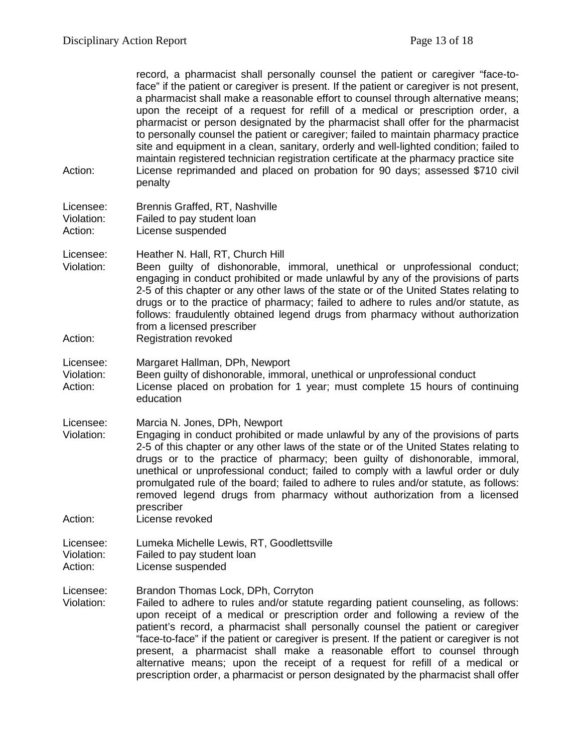| Action:                            | record, a pharmacist shall personally counsel the patient or caregiver "face-to-<br>face" if the patient or caregiver is present. If the patient or caregiver is not present,<br>a pharmacist shall make a reasonable effort to counsel through alternative means;<br>upon the receipt of a request for refill of a medical or prescription order, a<br>pharmacist or person designated by the pharmacist shall offer for the pharmacist<br>to personally counsel the patient or caregiver; failed to maintain pharmacy practice<br>site and equipment in a clean, sanitary, orderly and well-lighted condition; failed to<br>maintain registered technician registration certificate at the pharmacy practice site<br>License reprimanded and placed on probation for 90 days; assessed \$710 civil<br>penalty |
|------------------------------------|-----------------------------------------------------------------------------------------------------------------------------------------------------------------------------------------------------------------------------------------------------------------------------------------------------------------------------------------------------------------------------------------------------------------------------------------------------------------------------------------------------------------------------------------------------------------------------------------------------------------------------------------------------------------------------------------------------------------------------------------------------------------------------------------------------------------|
| Licensee:<br>Violation:<br>Action: | Brennis Graffed, RT, Nashville<br>Failed to pay student loan<br>License suspended                                                                                                                                                                                                                                                                                                                                                                                                                                                                                                                                                                                                                                                                                                                               |
| Licensee:<br>Violation:<br>Action: | Heather N. Hall, RT, Church Hill<br>Been guilty of dishonorable, immoral, unethical or unprofessional conduct;<br>engaging in conduct prohibited or made unlawful by any of the provisions of parts<br>2-5 of this chapter or any other laws of the state or of the United States relating to<br>drugs or to the practice of pharmacy; failed to adhere to rules and/or statute, as<br>follows: fraudulently obtained legend drugs from pharmacy without authorization<br>from a licensed prescriber<br><b>Registration revoked</b>                                                                                                                                                                                                                                                                             |
| Licensee:<br>Violation:<br>Action: | Margaret Hallman, DPh, Newport<br>Been guilty of dishonorable, immoral, unethical or unprofessional conduct<br>License placed on probation for 1 year; must complete 15 hours of continuing<br>education                                                                                                                                                                                                                                                                                                                                                                                                                                                                                                                                                                                                        |
| Licensee:<br>Violation:<br>Action: | Marcia N. Jones, DPh, Newport<br>Engaging in conduct prohibited or made unlawful by any of the provisions of parts<br>2-5 of this chapter or any other laws of the state or of the United States relating to<br>drugs or to the practice of pharmacy; been guilty of dishonorable, immoral,<br>unethical or unprofessional conduct; failed to comply with a lawful order or duly<br>promulgated rule of the board; failed to adhere to rules and/or statute, as follows:<br>removed legend drugs from pharmacy without authorization from a licensed<br>prescriber<br>License revoked                                                                                                                                                                                                                           |
| Licensee:<br>Violation:<br>Action: | Lumeka Michelle Lewis, RT, Goodlettsville<br>Failed to pay student loan<br>License suspended                                                                                                                                                                                                                                                                                                                                                                                                                                                                                                                                                                                                                                                                                                                    |
| Licensee:<br>Violation:            | Brandon Thomas Lock, DPh, Corryton<br>Failed to adhere to rules and/or statute regarding patient counseling, as follows:<br>upon receipt of a medical or prescription order and following a review of the<br>patient's record, a pharmacist shall personally counsel the patient or caregiver<br>"face-to-face" if the patient or caregiver is present. If the patient or caregiver is not<br>present, a pharmacist shall make a reasonable effort to counsel through<br>alternative means; upon the receipt of a request for refill of a medical or<br>prescription order, a pharmacist or person designated by the pharmacist shall offer                                                                                                                                                                     |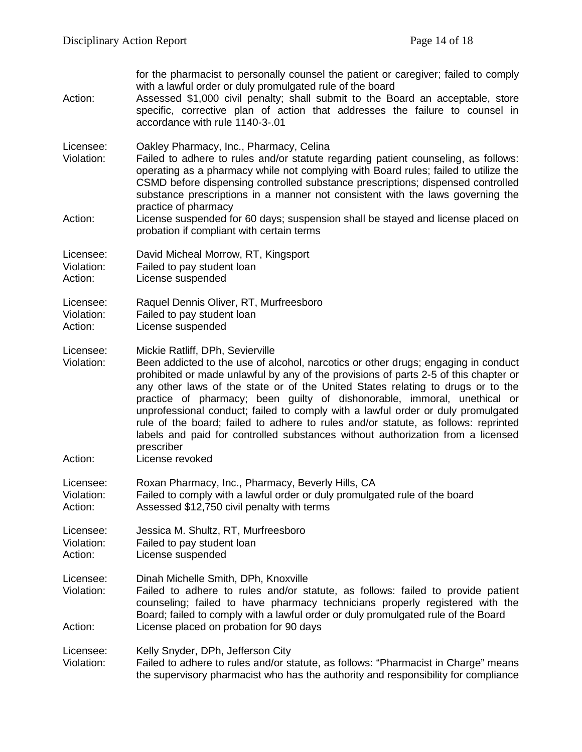| Action:                            | for the pharmacist to personally counsel the patient or caregiver; failed to comply<br>with a lawful order or duly promulgated rule of the board<br>Assessed \$1,000 civil penalty; shall submit to the Board an acceptable, store<br>specific, corrective plan of action that addresses the failure to counsel in<br>accordance with rule 1140-3-.01                                                                                                                                                                                                                                                                                                                       |
|------------------------------------|-----------------------------------------------------------------------------------------------------------------------------------------------------------------------------------------------------------------------------------------------------------------------------------------------------------------------------------------------------------------------------------------------------------------------------------------------------------------------------------------------------------------------------------------------------------------------------------------------------------------------------------------------------------------------------|
| Licensee:<br>Violation:            | Oakley Pharmacy, Inc., Pharmacy, Celina<br>Failed to adhere to rules and/or statute regarding patient counseling, as follows:<br>operating as a pharmacy while not complying with Board rules; failed to utilize the<br>CSMD before dispensing controlled substance prescriptions; dispensed controlled<br>substance prescriptions in a manner not consistent with the laws governing the<br>practice of pharmacy                                                                                                                                                                                                                                                           |
| Action:                            | License suspended for 60 days; suspension shall be stayed and license placed on<br>probation if compliant with certain terms                                                                                                                                                                                                                                                                                                                                                                                                                                                                                                                                                |
| Licensee:<br>Violation:<br>Action: | David Micheal Morrow, RT, Kingsport<br>Failed to pay student loan<br>License suspended                                                                                                                                                                                                                                                                                                                                                                                                                                                                                                                                                                                      |
| Licensee:<br>Violation:<br>Action: | Raquel Dennis Oliver, RT, Murfreesboro<br>Failed to pay student loan<br>License suspended                                                                                                                                                                                                                                                                                                                                                                                                                                                                                                                                                                                   |
| Licensee:<br>Violation:<br>Action: | Mickie Ratliff, DPh, Sevierville<br>Been addicted to the use of alcohol, narcotics or other drugs; engaging in conduct<br>prohibited or made unlawful by any of the provisions of parts 2-5 of this chapter or<br>any other laws of the state or of the United States relating to drugs or to the<br>practice of pharmacy; been guilty of dishonorable, immoral, unethical or<br>unprofessional conduct; failed to comply with a lawful order or duly promulgated<br>rule of the board; failed to adhere to rules and/or statute, as follows: reprinted<br>labels and paid for controlled substances without authorization from a licensed<br>prescriber<br>License revoked |
| Licensee:<br>Violation:<br>Action: | Roxan Pharmacy, Inc., Pharmacy, Beverly Hills, CA<br>Failed to comply with a lawful order or duly promulgated rule of the board<br>Assessed \$12,750 civil penalty with terms                                                                                                                                                                                                                                                                                                                                                                                                                                                                                               |
| Licensee:<br>Violation:<br>Action: | Jessica M. Shultz, RT, Murfreesboro<br>Failed to pay student loan<br>License suspended                                                                                                                                                                                                                                                                                                                                                                                                                                                                                                                                                                                      |
| Licensee:<br>Violation:<br>Action: | Dinah Michelle Smith, DPh, Knoxville<br>Failed to adhere to rules and/or statute, as follows: failed to provide patient<br>counseling; failed to have pharmacy technicians properly registered with the<br>Board; failed to comply with a lawful order or duly promulgated rule of the Board<br>License placed on probation for 90 days                                                                                                                                                                                                                                                                                                                                     |
| Licensee:<br>Violation:            | Kelly Snyder, DPh, Jefferson City<br>Failed to adhere to rules and/or statute, as follows: "Pharmacist in Charge" means<br>the supervisory pharmacist who has the authority and responsibility for compliance                                                                                                                                                                                                                                                                                                                                                                                                                                                               |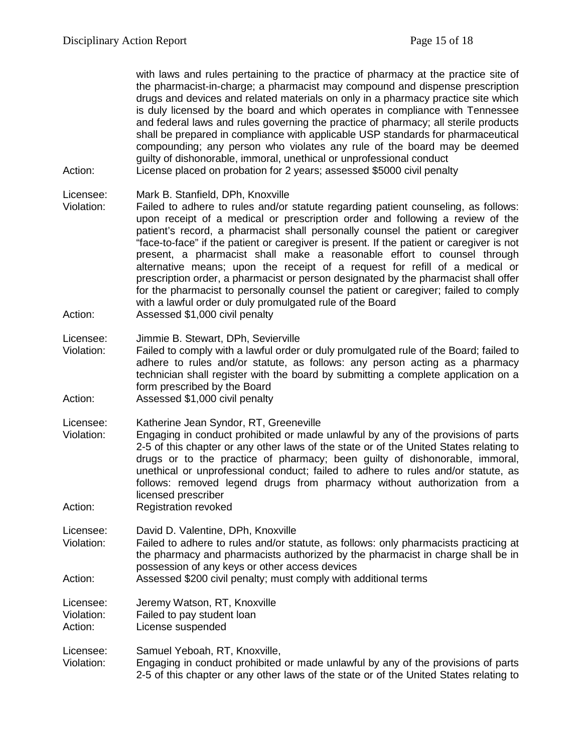with laws and rules pertaining to the practice of pharmacy at the practice site of the pharmacist-in-charge; a pharmacist may compound and dispense prescription drugs and devices and related materials on only in a pharmacy practice site which is duly licensed by the board and which operates in compliance with Tennessee and federal laws and rules governing the practice of pharmacy; all sterile products shall be prepared in compliance with applicable USP standards for pharmaceutical compounding; any person who violates any rule of the board may be deemed guilty of dishonorable, immoral, unethical or unprofessional conduct

Action: License placed on probation for 2 years; assessed \$5000 civil penalty

#### Licensee: Mark B. Stanfield, DPh, Knoxville

Violation: Failed to adhere to rules and/or statute regarding patient counseling, as follows: upon receipt of a medical or prescription order and following a review of the patient's record, a pharmacist shall personally counsel the patient or caregiver "face-to-face" if the patient or caregiver is present. If the patient or caregiver is not present, a pharmacist shall make a reasonable effort to counsel through alternative means; upon the receipt of a request for refill of a medical or prescription order, a pharmacist or person designated by the pharmacist shall offer for the pharmacist to personally counsel the patient or caregiver; failed to comply with a lawful order or duly promulgated rule of the Board Action: Assessed \$1,000 civil penalty

- Licensee: Jimmie B. Stewart, DPh, Sevierville<br>Violation: Failed to comply with a lawful order Failed to comply with a lawful order or duly promulgated rule of the Board; failed to adhere to rules and/or statute, as follows: any person acting as a pharmacy technician shall register with the board by submitting a complete application on a form prescribed by the Board
- Action: Assessed \$1,000 civil penalty

Licensee: Katherine Jean Syndor, RT, Greeneville

- Violation: Engaging in conduct prohibited or made unlawful by any of the provisions of parts 2-5 of this chapter or any other laws of the state or of the United States relating to drugs or to the practice of pharmacy; been guilty of dishonorable, immoral, unethical or unprofessional conduct; failed to adhere to rules and/or statute, as follows: removed legend drugs from pharmacy without authorization from a licensed prescriber
- Action: Registration revoked

Licensee: David D. Valentine, DPh, Knoxville

- Violation: Failed to adhere to rules and/or statute, as follows: only pharmacists practicing at the pharmacy and pharmacists authorized by the pharmacist in charge shall be in possession of any keys or other access devices
- Action: Assessed \$200 civil penalty; must comply with additional terms

Licensee: Jeremy Watson, RT, Knoxville

Violation: Failed to pay student loan<br>Action: License suspended

License suspended

Licensee: Samuel Yeboah, RT, Knoxville,

Violation: Engaging in conduct prohibited or made unlawful by any of the provisions of parts 2-5 of this chapter or any other laws of the state or of the United States relating to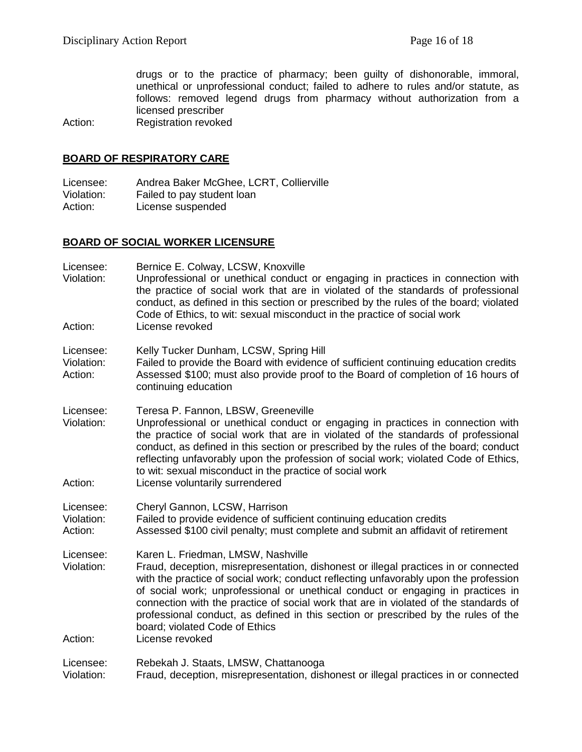drugs or to the practice of pharmacy; been guilty of dishonorable, immoral, unethical or unprofessional conduct; failed to adhere to rules and/or statute, as follows: removed legend drugs from pharmacy without authorization from a licensed prescriber

Action: Registration revoked

### **BOARD OF RESPIRATORY CARE**

Licensee: Andrea Baker McGhee, LCRT, Collierville<br>Violation: Failed to pay student loan Failed to pay student loan Action: License suspended

### **BOARD OF SOCIAL WORKER LICENSURE**

Licensee: Bernice E. Colway, LCSW, Knoxville<br>Violation: Unprofessional or unethical conduct Unprofessional or unethical conduct or engaging in practices in connection with the practice of social work that are in violated of the standards of professional conduct, as defined in this section or prescribed by the rules of the board; violated Code of Ethics, to wit: sexual misconduct in the practice of social work Action: License revoked Licensee: Kelly Tucker Dunham, LCSW, Spring Hill<br>Violation: Failed to provide the Board with evidence Failed to provide the Board with evidence of sufficient continuing education credits Action: Assessed \$100; must also provide proof to the Board of completion of 16 hours of continuing education Licensee: Teresa P. Fannon, LBSW, Greeneville Violation: Unprofessional or unethical conduct or engaging in practices in connection with the practice of social work that are in violated of the standards of professional conduct, as defined in this section or prescribed by the rules of the board; conduct reflecting unfavorably upon the profession of social work; violated Code of Ethics, to wit: sexual misconduct in the practice of social work Action: License voluntarily surrendered Licensee: Cheryl Gannon, LCSW, Harrison Violation: Failed to provide evidence of sufficient continuing education credits<br>Action: Assessed \$100 civil penalty: must complete and submit an affidavit Assessed \$100 civil penalty; must complete and submit an affidavit of retirement Licensee: Karen L. Friedman, LMSW, Nashville Violation: Fraud, deception, misrepresentation, dishonest or illegal practices in or connected with the practice of social work; conduct reflecting unfavorably upon the profession of social work; unprofessional or unethical conduct or engaging in practices in connection with the practice of social work that are in violated of the standards of professional conduct, as defined in this section or prescribed by the rules of the board; violated Code of Ethics Action: License revoked Licensee: Rebekah J. Staats, LMSW, Chattanooga Violation: Fraud, deception, misrepresentation, dishonest or illegal practices in or connected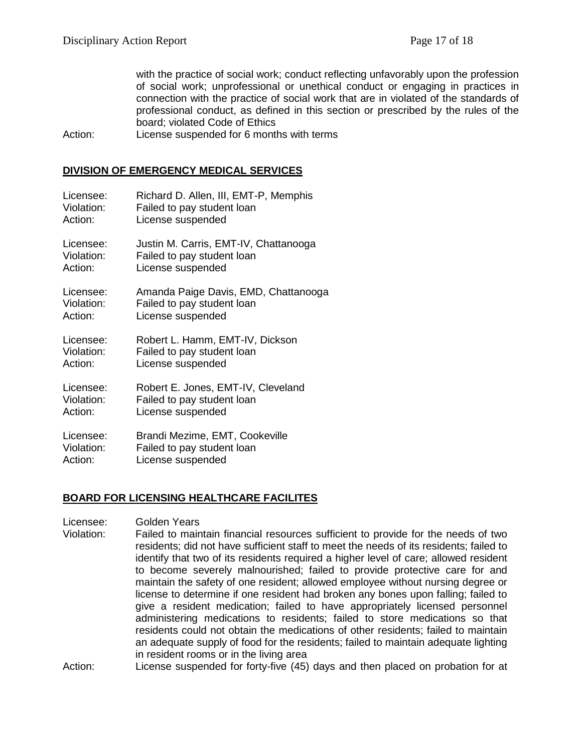with the practice of social work; conduct reflecting unfavorably upon the profession of social work; unprofessional or unethical conduct or engaging in practices in connection with the practice of social work that are in violated of the standards of professional conduct, as defined in this section or prescribed by the rules of the board; violated Code of Ethics

Action: License suspended for 6 months with terms

### **DIVISION OF EMERGENCY MEDICAL SERVICES**

| Licensee:  | Richard D. Allen, III, EMT-P, Memphis |
|------------|---------------------------------------|
| Violation: | Failed to pay student loan            |
| Action:    | License suspended                     |
| Licensee:  | Justin M. Carris, EMT-IV, Chattanooga |
| Violation: | Failed to pay student loan            |
| Action:    | License suspended                     |
| Licensee:  | Amanda Paige Davis, EMD, Chattanooga  |
| Violation: | Failed to pay student loan            |
| Action:    | License suspended                     |
| Licensee:  | Robert L. Hamm, EMT-IV, Dickson       |
| Violation: | Failed to pay student loan            |
| Action:    | License suspended                     |
| Licensee:  | Robert E. Jones, EMT-IV, Cleveland    |
| Violation: | Failed to pay student loan            |
| Action:    | License suspended                     |
| Licensee:  | Brandi Mezime, EMT, Cookeville        |
| Violation: | Failed to pay student loan            |
| Action:    | License suspended                     |

## **BOARD FOR LICENSING HEALTHCARE FACILITES**

### Licensee: Golden Years

Violation: Failed to maintain financial resources sufficient to provide for the needs of two residents; did not have sufficient staff to meet the needs of its residents; failed to identify that two of its residents required a higher level of care; allowed resident to become severely malnourished; failed to provide protective care for and maintain the safety of one resident; allowed employee without nursing degree or license to determine if one resident had broken any bones upon falling; failed to give a resident medication; failed to have appropriately licensed personnel administering medications to residents; failed to store medications so that residents could not obtain the medications of other residents; failed to maintain an adequate supply of food for the residents; failed to maintain adequate lighting in resident rooms or in the living area

Action: License suspended for forty-five (45) days and then placed on probation for at